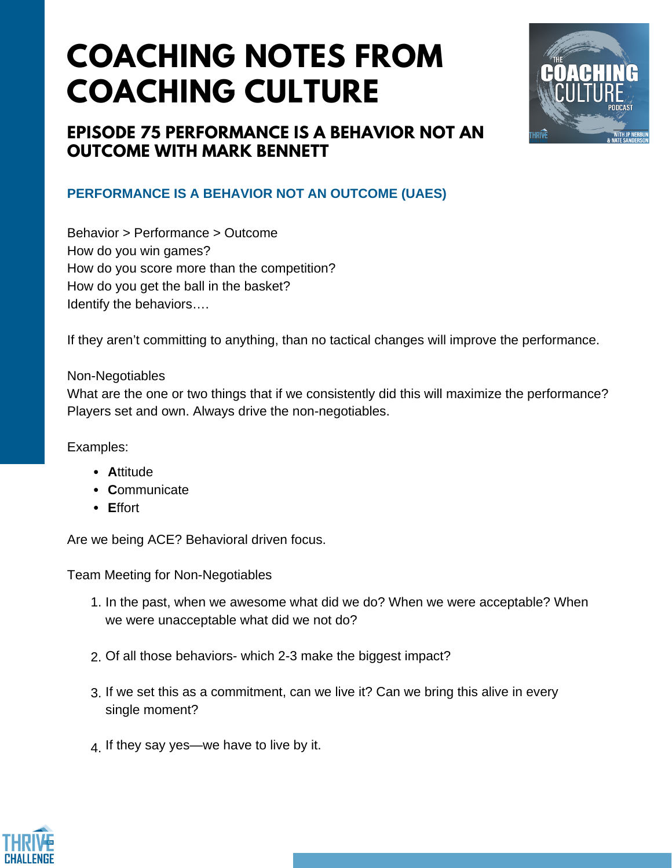# **COACHING NOTES FROM COACHING CULTURE**



## **EPISODE 75 PERFORMANCE IS A BEHAVIOR NOT AN OUTCOME WITH MARK BENNETT**

### **PERFORMANCE IS A BEHAVIOR NOT AN OUTCOME (UAES)**

Behavior > Performance > Outcome How do you win games? How do you score more than the competition? How do you get the ball in the basket? Identify the behaviors….

If they aren't committing to anything, than no tactical changes will improve the performance.

#### Non-Negotiables

What are the one or two things that if we consistently did this will maximize the performance? Players set and own. Always drive the non-negotiables.

Examples:

- **Attitude**
- **C**ommunicate
- **E**ffort

Are we being ACE? Behavioral driven focus.

Team Meeting for Non-Negotiables

- In the past, when we awesome what did we do? When we were acceptable? When 1. we were unacceptable what did we not do?
- Of all those behaviors- which 2-3 make the biggest impact? 2.
- If we set this as a commitment, can we live it? Can we bring this alive in every 3. single moment?
- $4.$  If they say yes—we have to live by it.